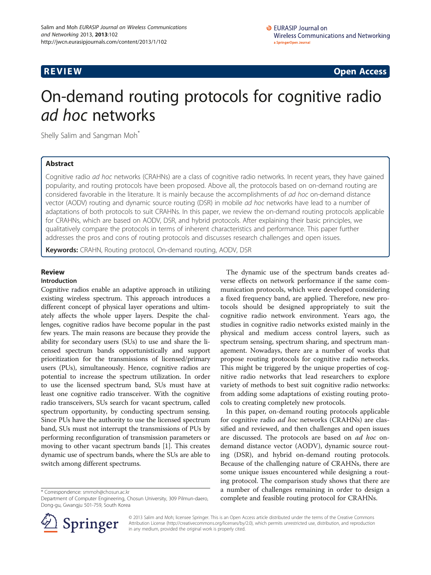R EVI EW OPEN ACCESS OF THE EW OPEN ACCESS OF THE EWO ARE ALL THE EWO ARE ALL THE EWO ARE ALL THE EWO ARE ALL

# On-demand routing protocols for cognitive radio ad hoc networks

Shelly Salim and Sangman Moh<sup>\*</sup>

# **Abstract**

Cognitive radio ad hoc networks (CRAHNs) are a class of cognitive radio networks. In recent years, they have gained popularity, and routing protocols have been proposed. Above all, the protocols based on on-demand routing are considered favorable in the literature. It is mainly because the accomplishments of ad hoc on-demand distance vector (AODV) routing and dynamic source routing (DSR) in mobile *ad hoc* networks have lead to a number of adaptations of both protocols to suit CRAHNs. In this paper, we review the on-demand routing protocols applicable for CRAHNs, which are based on AODV, DSR, and hybrid protocols. After explaining their basic principles, we qualitatively compare the protocols in terms of inherent characteristics and performance. This paper further addresses the pros and cons of routing protocols and discusses research challenges and open issues.

Keywords: CRAHN, Routing protocol, On-demand routing, AODV, DSR

# Introduction

Cognitive radios enable an adaptive approach in utilizing existing wireless spectrum. This approach introduces a different concept of physical layer operations and ultimately affects the whole upper layers. Despite the challenges, cognitive radios have become popular in the past few years. The main reasons are because they provide the ability for secondary users (SUs) to use and share the licensed spectrum bands opportunistically and support prioritization for the transmissions of licensed/primary users (PUs), simultaneously. Hence, cognitive radios are potential to increase the spectrum utilization. In order to use the licensed spectrum band, SUs must have at least one cognitive radio transceiver. With the cognitive radio transceivers, SUs search for vacant spectrum, called spectrum opportunity, by conducting spectrum sensing. Since PUs have the authority to use the licensed spectrum band, SUs must not interrupt the transmissions of PUs by performing reconfiguration of transmission parameters or moving to other vacant spectrum bands [\[1\]](#page-8-0). This creates dynamic use of spectrum bands, where the SUs are able to switch among different spectrums.

\* Correspondence: [smmoh@chosun.ac.kr](mailto:smmoh@chosun.ac.kr)

The dynamic use of the spectrum bands creates adverse effects on network performance if the same communication protocols, which were developed considering a fixed frequency band, are applied. Therefore, new protocols should be designed appropriately to suit the cognitive radio network environment. Years ago, the studies in cognitive radio networks existed mainly in the physical and medium access control layers, such as spectrum sensing, spectrum sharing, and spectrum management. Nowadays, there are a number of works that propose routing protocols for cognitive radio networks. This might be triggered by the unique properties of cognitive radio networks that lead researchers to explore variety of methods to best suit cognitive radio networks: from adding some adaptations of existing routing protocols to creating completely new protocols.

In this paper, on-demand routing protocols applicable for cognitive radio *ad hoc* networks (CRAHNs) are classified and reviewed, and then challenges and open issues are discussed. The protocols are based on *ad hoc* ondemand distance vector (AODV), dynamic source routing (DSR), and hybrid on-demand routing protocols. Because of the challenging nature of CRAHNs, there are some unique issues encountered while designing a routing protocol. The comparison study shows that there are a number of challenges remaining in order to design a complete and feasible routing protocol for CRAHNs.



© 2013 Salim and Moh; licensee Springer. This is an Open Access article distributed under the terms of the Creative Commons Attribution License [\(http://creativecommons.org/licenses/by/2.0\)](http://creativecommons.org/licenses/by/2.0), which permits unrestricted use, distribution, and reproduction in any medium, provided the original work is properly cited.

Department of Computer Engineering, Chosun University, 309 Pilmun-daero, Dong-gu, Gwangju 501-759, South Korea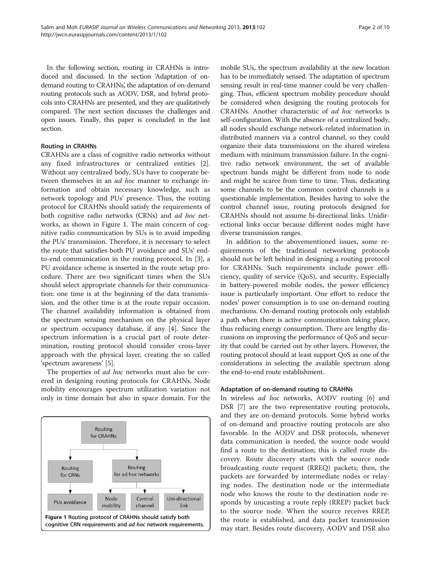In the following section, routing in CRAHNs is introduced and discussed. In the section 'Adaptation of ondemand routing to CRAHNs', the adaptation of on-demand routing protocols such as AODV, DSR, and hybrid protocols into CRAHNs are presented, and they are qualitatively compared. The next section discusses the challenges and open issues. Finally, this paper is concluded in the last section.

### Routing in CRAHNs

CRAHNs are a class of cognitive radio networks without any fixed infrastructures or centralized entities [\[2](#page-8-0)]. Without any centralized body, SUs have to cooperate between themselves in an ad hoc manner to exchange information and obtain necessary knowledge, such as network topology and PUs' presence. Thus, the routing protocol for CRAHNs should satisfy the requirements of both cognitive radio networks (CRNs) and ad hoc networks, as shown in Figure 1. The main concern of cognitive radio communication by SUs is to avoid impeding the PUs' transmission. Therefore, it is necessary to select the route that satisfies both PU avoidance and SUs' endto-end communication in the routing protocol. In [\[3](#page-8-0)], a PU avoidance scheme is inserted in the route setup procedure. There are two significant times when the SUs should select appropriate channels for their communication: one time is at the beginning of the data transmission, and the other time is at the route repair occasion. The channel availability information is obtained from the spectrum sensing mechanism on the physical layer or spectrum occupancy database, if any [[4\]](#page-8-0). Since the spectrum information is a crucial part of route determination, routing protocol should consider cross-layer approach with the physical layer, creating the so called 'spectrum awareness' [[5](#page-8-0)].

The properties of *ad hoc* networks must also be covered in designing routing protocols for CRAHNs. Node mobility encourages spectrum utilization variation not only in time domain but also in space domain. For the



mobile SUs, the spectrum availability at the new location has to be immediately sensed. The adaptation of spectrum sensing result in real-time manner could be very challenging. Thus, efficient spectrum mobility procedure should be considered when designing the routing protocols for CRAHNs. Another characteristic of ad hoc networks is self-configuration. With the absence of a centralized body, all nodes should exchange network-related information in distributed manners via a control channel, so they could organize their data transmissions on the shared wireless medium with minimum transmission failure. In the cognitive radio network environment, the set of available spectrum bands might be different from node to node and might be scarce from time to time. Thus, dedicating some channels to be the common control channels is a questionable implementation. Besides having to solve the control channel issue, routing protocols designed for CRAHNs should not assume bi-directional links. Unidirectional links occur because different nodes might have diverse transmission ranges.

In addition to the abovementioned issues, some requirements of the traditional networking protocols should not be left behind in designing a routing protocol for CRAHNs. Such requirements include power efficiency, quality of service (QoS), and security. Especially in battery-powered mobile nodes, the power efficiency issue is particularly important. One effort to reduce the nodes' power consumption is to use on-demand routing mechanisms. On-demand routing protocols only establish a path when there is active communication taking place, thus reducing energy consumption. There are lengthy discussions on improving the performance of QoS and security that could be carried out by other layers. However, the routing protocol should at least support QoS as one of the considerations in selecting the available spectrum along the end-to-end route establishment.

#### Adaptation of on-demand routing to CRAHNs

In wireless ad hoc networks, AODV routing [[6\]](#page-8-0) and DSR [\[7](#page-8-0)] are the two representative routing protocols, and they are on-demand protocols. Some hybrid works of on-demand and proactive routing protocols are also favorable. In the AODV and DSR protocols, whenever data communication is needed, the source node would find a route to the destination; this is called route discovery. Route discovery starts with the source node broadcasting route request (RREQ) packets; then, the packets are forwarded by intermediate nodes or relaying nodes. The destination node or the intermediate node who knows the route to the destination node responds by unicasting a route reply (RREP) packet back to the source node. When the source receives RREP, the route is established, and data packet transmission may start. Besides route discovery, AODV and DSR also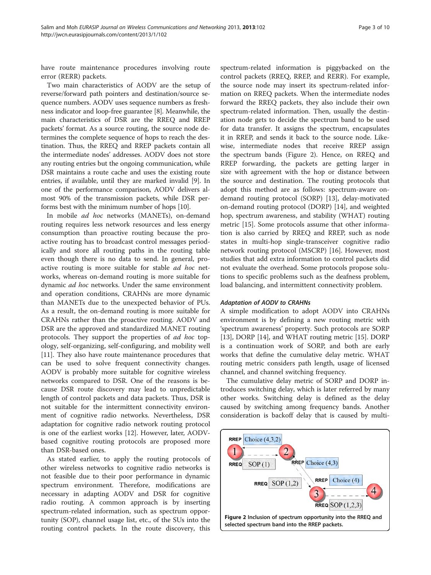have route maintenance procedures involving route error (RERR) packets.

Two main characteristics of AODV are the setup of reverse/forward path pointers and destination/source sequence numbers. AODV uses sequence numbers as freshness indicator and loop-free guarantee [\[8](#page-8-0)]. Meanwhile, the main characteristics of DSR are the RREQ and RREP packets' format. As a source routing, the source node determines the complete sequence of hops to reach the destination. Thus, the RREQ and RREP packets contain all the intermediate nodes' addresses. AODV does not store any routing entries but the ongoing communication, while DSR maintains a route cache and uses the existing route entries, if available, until they are marked invalid [[9\]](#page-8-0). In one of the performance comparison, AODV delivers almost 90% of the transmission packets, while DSR performs best with the minimum number of hops [[10](#page-8-0)].

In mobile ad hoc networks (MANETs), on-demand routing requires less network resources and less energy consumption than proactive routing because the proactive routing has to broadcast control messages periodically and store all routing paths in the routing table even though there is no data to send. In general, proactive routing is more suitable for stable ad hoc networks, whereas on-demand routing is more suitable for dynamic ad hoc networks. Under the same environment and operation conditions, CRAHNs are more dynamic than MANETs due to the unexpected behavior of PUs. As a result, the on-demand routing is more suitable for CRAHNs rather than the proactive routing. AODV and DSR are the approved and standardized MANET routing protocols. They support the properties of ad hoc topology, self-organizing, self-configuring, and mobility well [[11\]](#page-8-0). They also have route maintenance procedures that can be used to solve frequent connectivity changes. AODV is probably more suitable for cognitive wireless networks compared to DSR. One of the reasons is because DSR route discovery may lead to unpredictable length of control packets and data packets. Thus, DSR is not suitable for the intermittent connectivity environment of cognitive radio networks. Nevertheless, DSR adaptation for cognitive radio network routing protocol is one of the earliest works [[12\]](#page-8-0). However, later, AODVbased cognitive routing protocols are proposed more than DSR-based ones.

As stated earlier, to apply the routing protocols of other wireless networks to cognitive radio networks is not feasible due to their poor performance in dynamic spectrum environment. Therefore, modifications are necessary in adapting AODV and DSR for cognitive radio routing. A common approach is by inserting spectrum-related information, such as spectrum opportunity (SOP), channel usage list, etc., of the SUs into the routing control packets. In the route discovery, this

spectrum-related information is piggybacked on the control packets (RREQ, RREP, and RERR). For example, the source node may insert its spectrum-related information on RREQ packets. When the intermediate nodes forward the RREQ packets, they also include their own spectrum-related information. Then, usually the destination node gets to decide the spectrum band to be used for data transfer. It assigns the spectrum, encapsulates it in RREP, and sends it back to the source node. Likewise, intermediate nodes that receive RREP assign the spectrum bands (Figure 2). Hence, on RREQ and RREP forwarding, the packets are getting larger in size with agreement with the hop or distance between the source and destination. The routing protocols that adopt this method are as follows: spectrum-aware ondemand routing protocol (SORP) [[13\]](#page-8-0), delay-motivated on-demand routing protocol (DORP) [\[14\]](#page-8-0), and weighted hop, spectrum awareness, and stability (WHAT) routing metric [[15\]](#page-8-0). Some protocols assume that other information is also carried by RREQ and RREP, such as node states in multi-hop single-transceiver cognitive radio network routing protocol (MSCRP) [\[16](#page-8-0)]. However, most studies that add extra information to control packets did not evaluate the overhead. Some protocols propose solutions to specific problems such as the deafness problem, load balancing, and intermittent connectivity problem.

#### Adaptation of AODV to CRAHNs

A simple modification to adopt AODV into CRAHNs environment is by defining a new routing metric with 'spectrum awareness' property. Such protocols are SORP [[13\]](#page-8-0), DORP [[14](#page-8-0)], and WHAT routing metric [[15\]](#page-8-0). DORP is a continuation work of SORP, and both are early works that define the cumulative delay metric. WHAT routing metric considers path length, usage of licensed channel, and channel switching frequency.

The cumulative delay metric of SORP and DORP introduces switching delay, which is later referred by many other works. Switching delay is defined as the delay caused by switching among frequency bands. Another consideration is backoff delay that is caused by multi-

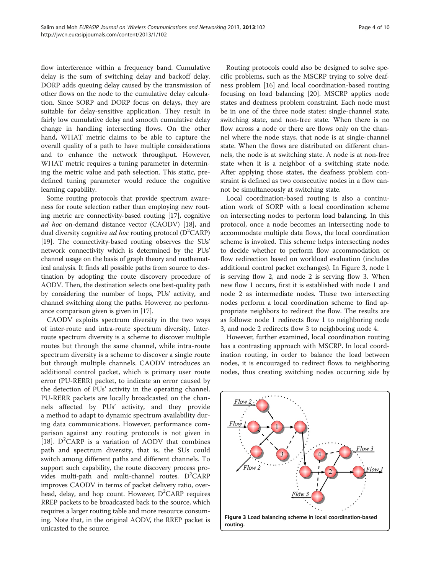flow interference within a frequency band. Cumulative delay is the sum of switching delay and backoff delay. DORP adds queuing delay caused by the transmission of other flows on the node to the cumulative delay calculation. Since SORP and DORP focus on delays, they are suitable for delay-sensitive application. They result in fairly low cumulative delay and smooth cumulative delay change in handling intersecting flows. On the other hand, WHAT metric claims to be able to capture the overall quality of a path to have multiple considerations and to enhance the network throughput. However, WHAT metric requires a tuning parameter in determining the metric value and path selection. This static, predefined tuning parameter would reduce the cognitive learning capability.

Some routing protocols that provide spectrum awareness for route selection rather than employing new routing metric are connectivity-based routing [\[17](#page-8-0)], cognitive ad hoc on-demand distance vector (CAODV) [\[18\]](#page-8-0), and dual diversity cognitive *ad hoc* routing protocol (D<sup>2</sup>CARP) [[19](#page-8-0)]. The connectivity-based routing observes the SUs' network connectivity which is determined by the PUs' channel usage on the basis of graph theory and mathematical analysis. It finds all possible paths from source to destination by adopting the route discovery procedure of AODV. Then, the destination selects one best-quality path by considering the number of hops, PUs' activity, and channel switching along the paths. However, no performance comparison given is given in [\[17\]](#page-8-0).

CAODV exploits spectrum diversity in the two ways of inter-route and intra-route spectrum diversity. Interroute spectrum diversity is a scheme to discover multiple routes but through the same channel, while intra-route spectrum diversity is a scheme to discover a single route but through multiple channels. CAODV introduces an additional control packet, which is primary user route error (PU-RERR) packet, to indicate an error caused by the detection of PUs' activity in the operating channel. PU-RERR packets are locally broadcasted on the channels affected by PUs' activity, and they provide a method to adapt to dynamic spectrum availability during data communications. However, performance comparison against any routing protocols is not given in [[18\]](#page-8-0).  $D^2CARP$  is a variation of AODV that combines path and spectrum diversity, that is, the SUs could switch among different paths and different channels. To support such capability, the route discovery process provides multi-path and multi-channel routes. D<sup>2</sup>CARP improves CAODV in terms of packet delivery ratio, overhead, delay, and hop count. However,  $D^2CARP$  requires RREP packets to be broadcasted back to the source, which requires a larger routing table and more resource consuming. Note that, in the original AODV, the RREP packet is unicasted to the source.

Routing protocols could also be designed to solve specific problems, such as the MSCRP trying to solve deafness problem [\[16](#page-8-0)] and local coordination-based routing focusing on load balancing [\[20](#page-8-0)]. MSCRP applies node states and deafness problem constraint. Each node must be in one of the three node states: single-channel state, switching state, and non-free state. When there is no flow across a node or there are flows only on the channel where the node stays, that node is at single-channel state. When the flows are distributed on different channels, the node is at switching state. A node is at non-free state when it is a neighbor of a switching state node. After applying those states, the deafness problem constraint is defined as two consecutive nodes in a flow cannot be simultaneously at switching state.

Local coordination-based routing is also a continuation work of SORP with a local coordination scheme on intersecting nodes to perform load balancing. In this protocol, once a node becomes an intersecting node to accommodate multiple data flows, the local coordination scheme is invoked. This scheme helps intersecting nodes to decide whether to perform flow accommodation or flow redirection based on workload evaluation (includes additional control packet exchanges). In Figure 3, node 1 is serving flow 2, and node 2 is serving flow 3. When new flow 1 occurs, first it is established with node 1 and node 2 as intermediate nodes. These two intersecting nodes perform a local coordination scheme to find appropriate neighbors to redirect the flow. The results are as follows: node 1 redirects flow 1 to neighboring node 3, and node 2 redirects flow 3 to neighboring node 4.

However, further examined, local coordination routing has a contrasting approach with MSCRP. In local coordination routing, in order to balance the load between nodes, it is encouraged to redirect flows to neighboring nodes, thus creating switching nodes occurring side by

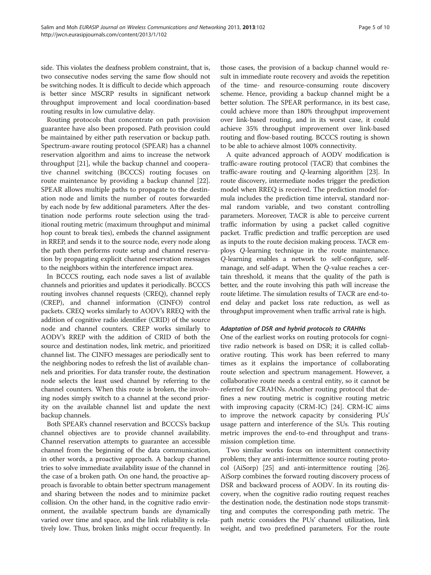side. This violates the deafness problem constraint, that is, two consecutive nodes serving the same flow should not be switching nodes. It is difficult to decide which approach is better since MSCRP results in significant network throughput improvement and local coordination-based routing results in low cumulative delay.

Routing protocols that concentrate on path provision guarantee have also been proposed. Path provision could be maintained by either path reservation or backup path. Spectrum-aware routing protocol (SPEAR) has a channel reservation algorithm and aims to increase the network throughput [\[21](#page-8-0)], while the backup channel and cooperative channel switching (BCCCS) routing focuses on route maintenance by providing a backup channel [\[22](#page-8-0)]. SPEAR allows multiple paths to propagate to the destination node and limits the number of routes forwarded by each node by few additional parameters. After the destination node performs route selection using the traditional routing metric (maximum throughput and minimal hop count to break ties), embeds the channel assignment in RREP, and sends it to the source node, every node along the path then performs route setup and channel reservation by propagating explicit channel reservation messages to the neighbors within the interference impact area.

In BCCCS routing, each node saves a list of available channels and priorities and updates it periodically. BCCCS routing involves channel requests (CREQ), channel reply (CREP), and channel information (CINFO) control packets. CREQ works similarly to AODV's RREQ with the addition of cognitive radio identifier (CRID) of the source node and channel counters. CREP works similarly to AODV's RREP with the addition of CRID of both the source and destination nodes, link metric, and prioritized channel list. The CINFO messages are periodically sent to the neighboring nodes to refresh the list of available channels and priorities. For data transfer route, the destination node selects the least used channel by referring to the channel counters. When this route is broken, the involving nodes simply switch to a channel at the second priority on the available channel list and update the next backup channels.

Both SPEAR's channel reservation and BCCCS's backup channel objectives are to provide channel availability. Channel reservation attempts to guarantee an accessible channel from the beginning of the data communication, in other words, a proactive approach. A backup channel tries to solve immediate availability issue of the channel in the case of a broken path. On one hand, the proactive approach is favorable to obtain better spectrum management and sharing between the nodes and to minimize packet collision. On the other hand, in the cognitive radio environment, the available spectrum bands are dynamically varied over time and space, and the link reliability is relatively low. Thus, broken links might occur frequently. In

those cases, the provision of a backup channel would result in immediate route recovery and avoids the repetition of the time- and resource-consuming route discovery scheme. Hence, providing a backup channel might be a better solution. The SPEAR performance, in its best case, could achieve more than 180% throughput improvement over link-based routing, and in its worst case, it could achieve 35% throughput improvement over link-based routing and flow-based routing. BCCCS routing is shown to be able to achieve almost 100% connectivity.

A quite advanced approach of AODV modification is traffic-aware routing protocol (TACR) that combines the traffic-aware routing and Q-learning algorithm [[23\]](#page-8-0). In route discovery, intermediate nodes trigger the prediction model when RREQ is received. The prediction model formula includes the prediction time interval, standard normal random variable, and two constant controlling parameters. Moreover, TACR is able to perceive current traffic information by using a packet called cognitive packet. Traffic prediction and traffic perception are used as inputs to the route decision making process. TACR employs Q-learning technique in the route maintenance. Q-learning enables a network to self-configure, selfmanage, and self-adapt. When the Q-value reaches a certain threshold, it means that the quality of the path is better, and the route involving this path will increase the route lifetime. The simulation results of TACR are end-toend delay and packet loss rate reduction, as well as throughput improvement when traffic arrival rate is high.

#### Adaptation of DSR and hybrid protocols to CRAHNs

One of the earliest works on routing protocols for cognitive radio network is based on DSR; it is called collaborative routing. This work has been referred to many times as it explains the importance of collaborating route selection and spectrum management. However, a collaborative route needs a central entity, so it cannot be referred for CRAHNs. Another routing protocol that defines a new routing metric is cognitive routing metric with improving capacity (CRM-IC) [\[24](#page-8-0)]. CRM-IC aims to improve the network capacity by considering PUs' usage pattern and interference of the SUs. This routing metric improves the end-to-end throughput and transmission completion time.

Two similar works focus on intermittent connectivity problem; they are anti-intermittence source routing protocol (AiSorp) [\[25\]](#page-8-0) and anti-intermittence routing [[26](#page-8-0)]. AiSorp combines the forward routing discovery process of DSR and backward process of AODV. In its routing discovery, when the cognitive radio routing request reaches the destination node, the destination node stops transmitting and computes the corresponding path metric. The path metric considers the PUs' channel utilization, link weight, and two predefined parameters. For the route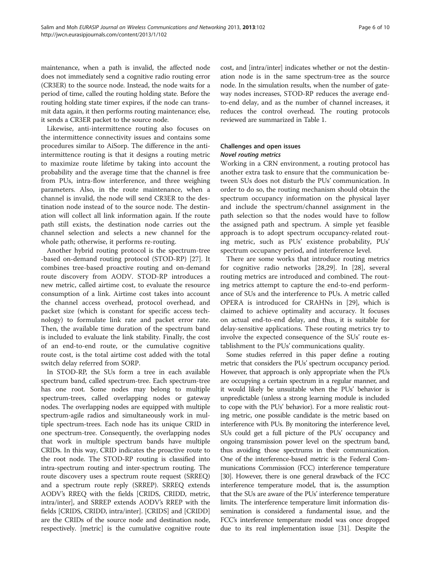maintenance, when a path is invalid, the affected node does not immediately send a cognitive radio routing error (CR3ER) to the source node. Instead, the node waits for a period of time, called the routing holding state. Before the routing holding state timer expires, if the node can transmit data again, it then performs routing maintenance; else, it sends a CR3ER packet to the source node.

Likewise, anti-intermittence routing also focuses on the intermittence connectivity issues and contains some procedures similar to AiSorp. The difference in the antiintermittence routing is that it designs a routing metric to maximize route lifetime by taking into account the probability and the average time that the channel is free from PUs, intra-flow interference, and three weighing parameters. Also, in the route maintenance, when a channel is invalid, the node will send CR3ER to the destination node instead of to the source node. The destination will collect all link information again. If the route path still exists, the destination node carries out the channel selection and selects a new channel for the whole path; otherwise, it performs re-routing.

Another hybrid routing protocol is the spectrum-tree -based on-demand routing protocol (STOD-RP) [\[27\]](#page-8-0). It combines tree-based proactive routing and on-demand route discovery from AODV. STOD-RP introduces a new metric, called airtime cost, to evaluate the resource consumption of a link. Airtime cost takes into account the channel access overhead, protocol overhead, and packet size (which is constant for specific access technology) to formulate link rate and packet error rate. Then, the available time duration of the spectrum band is included to evaluate the link stability. Finally, the cost of an end-to-end route, or the cumulative cognitive route cost, is the total airtime cost added with the total switch delay referred from SORP.

In STOD-RP, the SUs form a tree in each available spectrum band, called spectrum-tree. Each spectrum-tree has one root. Some nodes may belong to multiple spectrum-trees, called overlapping nodes or gateway nodes. The overlapping nodes are equipped with multiple spectrum-agile radios and simultaneously work in multiple spectrum-trees. Each node has its unique CRID in one spectrum-tree. Consequently, the overlapping nodes that work in multiple spectrum bands have multiple CRIDs. In this way, CRID indicates the proactive route to the root node. The STOD-RP routing is classified into intra-spectrum routing and inter-spectrum routing. The route discovery uses a spectrum route request (SRREQ) and a spectrum route reply (SRREP). SRREQ extends AODV's RREQ with the fields [CRIDS, CRIDD, metric, intra/inter], and SRREP extends AODV's RREP with the fields [CRIDS, CRIDD, intra/inter]. [CRIDS] and [CRIDD] are the CRIDs of the source node and destination node, respectively. [metric] is the cumulative cognitive route cost, and [intra/inter] indicates whether or not the destination node is in the same spectrum-tree as the source node. In the simulation results, when the number of gateway nodes increases, STOD-RP reduces the average endto-end delay, and as the number of channel increases, it reduces the control overhead. The routing protocols reviewed are summarized in Table [1.](#page-6-0)

## Challenges and open issues Novel routing metrics

Working in a CRN environment, a routing protocol has another extra task to ensure that the communication between SUs does not disturb the PUs' communication. In order to do so, the routing mechanism should obtain the spectrum occupancy information on the physical layer and include the spectrum/channel assignment in the path selection so that the nodes would have to follow the assigned path and spectrum. A simple yet feasible approach is to adopt spectrum occupancy-related routing metric, such as PUs' existence probability, PUs' spectrum occupancy period, and interference level.

There are some works that introduce routing metrics for cognitive radio networks [[28](#page-8-0),[29](#page-8-0)]. In [[28](#page-8-0)], several routing metrics are introduced and combined. The routing metrics attempt to capture the end-to-end performance of SUs and the interference to PUs. A metric called OPERA is introduced for CRAHNs in [[29\]](#page-8-0), which is claimed to achieve optimality and accuracy. It focuses on actual end-to-end delay, and thus, it is suitable for delay-sensitive applications. These routing metrics try to involve the expected consequence of the SUs' route establishment to the PUs' communications quality.

Some studies referred in this paper define a routing metric that considers the PUs' spectrum occupancy period. However, that approach is only appropriate when the PUs are occupying a certain spectrum in a regular manner, and it would likely be unsuitable when the PUs' behavior is unpredictable (unless a strong learning module is included to cope with the PUs' behavior). For a more realistic routing metric, one possible candidate is the metric based on interference with PUs. By monitoring the interference level, SUs could get a full picture of the PUs' occupancy and ongoing transmission power level on the spectrum band, thus avoiding those spectrums in their communication. One of the interference-based metric is the Federal Communications Commission (FCC) interference temperature [[30](#page-8-0)]. However, there is one general drawback of the FCC interference temperature model, that is, the assumption that the SUs are aware of the PUs' interference temperature limits. The interference temperature limit information dissemination is considered a fundamental issue, and the FCC's interference temperature model was once dropped due to its real implementation issue [\[31\]](#page-8-0). Despite the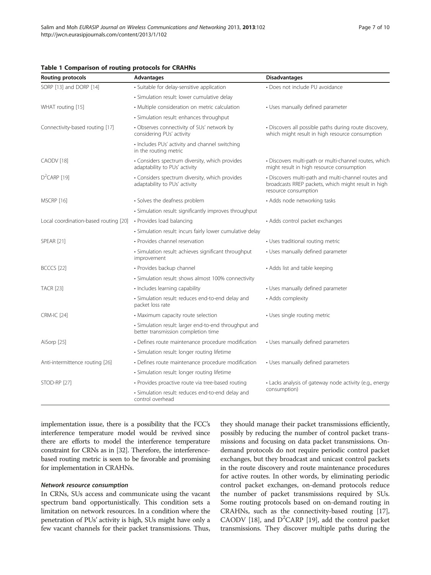<span id="page-6-0"></span>Table 1 Comparison of routing protocols for CRAHNs

| <b>Routing protocols</b>              | Advantages                                                                                   | <b>Disadvantages</b>                                                                                                               |
|---------------------------------------|----------------------------------------------------------------------------------------------|------------------------------------------------------------------------------------------------------------------------------------|
| SORP [13] and DORP [14]               | · Suitable for delay-sensitive application                                                   | · Does not include PU avoidance                                                                                                    |
|                                       | · Simulation result: lower cumulative delay                                                  |                                                                                                                                    |
| WHAT routing [15]                     | • Multiple consideration on metric calculation                                               | • Uses manually defined parameter                                                                                                  |
|                                       | · Simulation result: enhances throughput                                                     |                                                                                                                                    |
| Connectivity-based routing [17]       | · Observes connectivity of SUs' network by<br>considering PUs' activity                      | · Discovers all possible paths during route discovery,<br>which might result in high resource consumption                          |
|                                       | · Includes PUs' activity and channel switching<br>in the routing metric                      |                                                                                                                                    |
| CAODV [18]                            | · Considers spectrum diversity, which provides<br>adaptability to PUs' activity              | • Discovers multi-path or multi-channel routes, which<br>might result in high resource consumption                                 |
| $D^2$ CARP [19]                       | · Considers spectrum diversity, which provides<br>adaptability to PUs' activity              | • Discovers multi-path and multi-channel routes and<br>broadcasts RREP packets, which might result in high<br>resource consumption |
| MSCRP [16]                            | • Solves the deafness problem                                                                | • Adds node networking tasks                                                                                                       |
|                                       | · Simulation result: significantly improves throughput                                       |                                                                                                                                    |
| Local coordination-based routing [20] | • Provides load balancing                                                                    | • Adds control packet exchanges                                                                                                    |
|                                       | • Simulation result: incurs fairly lower cumulative delay                                    |                                                                                                                                    |
| <b>SPEAR [21]</b>                     | • Provides channel reservation                                                               | • Uses traditional routing metric                                                                                                  |
|                                       | · Simulation result: achieves significant throughput<br>improvement                          | • Uses manually defined parameter                                                                                                  |
| BCCCS <sub>[22]</sub>                 | • Provides backup channel                                                                    | • Adds list and table keeping                                                                                                      |
|                                       | • Simulation result: shows almost 100% connectivity                                          |                                                                                                                                    |
| <b>TACR</b> [23]                      | • Includes learning capability                                                               | • Uses manually defined parameter                                                                                                  |
|                                       | · Simulation result: reduces end-to-end delay and<br>packet loss rate                        | • Adds complexity                                                                                                                  |
| <b>CRM-IC [24]</b>                    | • Maximum capacity route selection                                                           | • Uses single routing metric                                                                                                       |
|                                       | · Simulation result: larger end-to-end throughput and<br>better transmission completion time |                                                                                                                                    |
| AiSorp [25]                           | • Defines route maintenance procedure modification                                           | • Uses manually defined parameters                                                                                                 |
|                                       | · Simulation result: longer routing lifetime                                                 |                                                                                                                                    |
| Anti-intermittence routing [26]       | • Defines route maintenance procedure modification                                           | • Uses manually defined parameters                                                                                                 |
|                                       | · Simulation result: longer routing lifetime                                                 |                                                                                                                                    |
| <b>STOD-RP [27]</b>                   | • Provides proactive route via tree-based routing                                            | • Lacks analysis of gateway node activity (e.g., energy<br>consumption)                                                            |
|                                       | • Simulation result: reduces end-to-end delay and<br>control overhead                        |                                                                                                                                    |

implementation issue, there is a possibility that the FCC's interference temperature model would be revived since there are efforts to model the interference temperature constraint for CRNs as in [\[32](#page-9-0)]. Therefore, the interferencebased routing metric is seen to be favorable and promising for implementation in CRAHNs.

#### Network resource consumption

In CRNs, SUs access and communicate using the vacant spectrum band opportunistically. This condition sets a limitation on network resources. In a condition where the penetration of PUs' activity is high, SUs might have only a few vacant channels for their packet transmissions. Thus,

they should manage their packet transmissions efficiently, possibly by reducing the number of control packet transmissions and focusing on data packet transmissions. Ondemand protocols do not require periodic control packet exchanges, but they broadcast and unicast control packets in the route discovery and route maintenance procedures for active routes. In other words, by eliminating periodic control packet exchanges, on-demand protocols reduce the number of packet transmissions required by SUs. Some routing protocols based on on-demand routing in CRAHNs, such as the connectivity-based routing [[17](#page-8-0)], CAODV [[18](#page-8-0)], and  $D^2CARP$  [\[19\]](#page-8-0), add the control packet transmissions. They discover multiple paths during the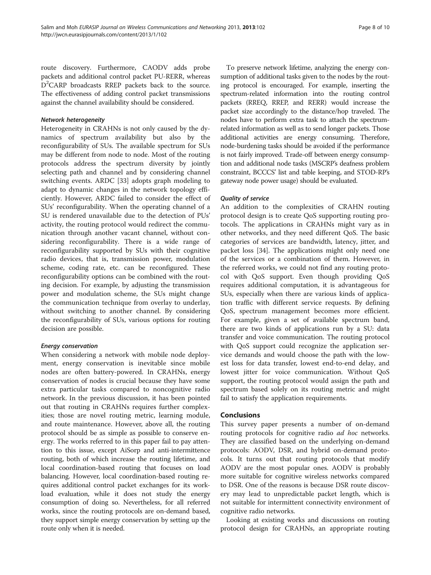route discovery. Furthermore, CAODV adds probe packets and additional control packet PU-RERR, whereas D<sup>2</sup>CARP broadcasts RREP packets back to the source. The effectiveness of adding control packet transmissions against the channel availability should be considered.

### Network heterogeneity

Heterogeneity in CRAHNs is not only caused by the dynamics of spectrum availability but also by the reconfigurability of SUs. The available spectrum for SUs may be different from node to node. Most of the routing protocols address the spectrum diversity by jointly selecting path and channel and by considering channel switching events. ARDC [\[33](#page-9-0)] adopts graph modeling to adapt to dynamic changes in the network topology efficiently. However, ARDC failed to consider the effect of SUs' reconfigurability. When the operating channel of a SU is rendered unavailable due to the detection of PUs' activity, the routing protocol would redirect the communication through another vacant channel, without considering reconfigurability. There is a wide range of reconfigurability supported by SUs with their cognitive radio devices, that is, transmission power, modulation scheme, coding rate, etc. can be reconfigured. These reconfigurability options can be combined with the routing decision. For example, by adjusting the transmission power and modulation scheme, the SUs might change the communication technique from overlay to underlay, without switching to another channel. By considering the reconfigurability of SUs, various options for routing decision are possible.

### Energy conservation

When considering a network with mobile node deployment, energy conservation is inevitable since mobile nodes are often battery-powered. In CRAHNs, energy conservation of nodes is crucial because they have some extra particular tasks compared to noncognitive radio network. In the previous discussion, it has been pointed out that routing in CRAHNs requires further complexities; those are novel routing metric, learning module, and route maintenance. However, above all, the routing protocol should be as simple as possible to conserve energy. The works referred to in this paper fail to pay attention to this issue, except AiSorp and anti-intermittence routing, both of which increase the routing lifetime, and local coordination-based routing that focuses on load balancing. However, local coordination-based routing requires additional control packet exchanges for its workload evaluation, while it does not study the energy consumption of doing so. Nevertheless, for all referred works, since the routing protocols are on-demand based, they support simple energy conservation by setting up the route only when it is needed.

To preserve network lifetime, analyzing the energy consumption of additional tasks given to the nodes by the routing protocol is encouraged. For example, inserting the spectrum-related information into the routing control packets (RREQ, RREP, and RERR) would increase the packet size accordingly to the distance/hop traveled. The nodes have to perform extra task to attach the spectrumrelated information as well as to send longer packets. Those additional activities are energy consuming. Therefore, node-burdening tasks should be avoided if the performance is not fairly improved. Trade-off between energy consumption and additional node tasks (MSCRP's deafness problem constraint, BCCCS' list and table keeping, and STOD-RP's gateway node power usage) should be evaluated.

#### Quality of service

An addition to the complexities of CRAHN routing protocol design is to create QoS supporting routing protocols. The applications in CRAHNs might vary as in other networks, and they need different QoS. The basic categories of services are bandwidth, latency, jitter, and packet loss [[34\]](#page-9-0). The applications might only need one of the services or a combination of them. However, in the referred works, we could not find any routing protocol with QoS support. Even though providing QoS requires additional computation, it is advantageous for SUs, especially when there are various kinds of application traffic with different service requests. By defining QoS, spectrum management becomes more efficient. For example, given a set of available spectrum band, there are two kinds of applications run by a SU: data transfer and voice communication. The routing protocol with QoS support could recognize the application service demands and would choose the path with the lowest loss for data transfer, lowest end-to-end delay, and lowest jitter for voice communication. Without QoS support, the routing protocol would assign the path and spectrum based solely on its routing metric and might fail to satisfy the application requirements.

This survey paper presents a number of on-demand routing protocols for cognitive radio *ad hoc* networks. They are classified based on the underlying on-demand protocols: AODV, DSR, and hybrid on-demand protocols. It turns out that routing protocols that modify AODV are the most popular ones. AODV is probably more suitable for cognitive wireless networks compared to DSR. One of the reasons is because DSR route discovery may lead to unpredictable packet length, which is not suitable for intermittent connectivity environment of cognitive radio networks.

Looking at existing works and discussions on routing protocol design for CRAHNs, an appropriate routing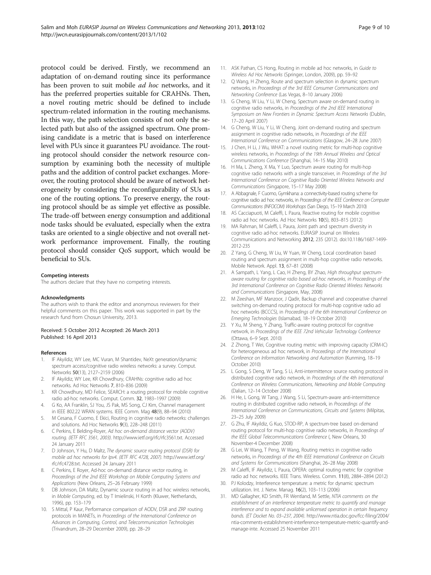<span id="page-8-0"></span>protocol could be derived. Firstly, we recommend an adaptation of on-demand routing since its performance has been proven to suit mobile ad hoc networks, and it has the preferred properties suitable for CRAHNs. Then, a novel routing metric should be defined to include spectrum-related information in the routing mechanisms. In this way, the path selection consists of not only the selected path but also of the assigned spectrum. One promising candidate is a metric that is based on interference level with PUs since it guarantees PU avoidance. The routing protocol should consider the network resource consumption by examining both the necessity of multiple paths and the addition of control packet exchanges. Moreover, the routing protocol should be aware of network heterogeneity by considering the reconfigurability of SUs as one of the routing options. To preserve energy, the routing protocol should be as simple yet effective as possible. The trade-off between energy consumption and additional node tasks should be evaluated, especially when the extra tasks are oriented to a single objective and not overall network performance improvement. Finally, the routing protocol should consider QoS support, which would be beneficial to SUs.

#### Competing interests

The authors declare that they have no competing interests.

#### Acknowledgments

The authors wish to thank the editor and anonymous reviewers for their helpful comments on this paper. This work was supported in part by the research fund from Chosun University, 2013.

#### Received: 5 October 2012 Accepted: 26 March 2013 Published: 16 April 2013

#### References

- IF Akyildiz, WY Lee, MC Vuran, M Shantidev, NeXt generation/dynamic spectrum access/cognitive radio wireless networks: a survey. Comput. Networks 50(13), 2127–2159 (2006)
- IF Akyildiz, WY Lee, KR Chowdhury, CRAHNs: cognitive radio ad hoc networks. Ad Hoc Networks 7, 810–836 (2009)
- 3. KR Chowdhury, MD Felice, SEARCH: a routing protocol for mobile cognitive radio ad-hoc networks. Comput. Comm. 32, 1983–1997 (2009)
- 4. G Ko, AA Franklin, SJ You, JS Pak, MS Song, CJ Kim, Channel management in IEEE 802.22 WRAN systems. IEEE Comm. Mag 48(9), 88–94 (2010)
- 5. M Cesana, F Cuomo, E Ekici, Routing in cognitive radio networks: challenges and solutions. Ad Hoc Networks 9(3), 228–248 (2011)
- 6. C Perkins, E Belding-Royer, Ad hoc on-demand distance vector (AODV) routing. (IETF RFC 3561, 2003).<http://www.ietf.org/rfc/rfc3561.txt>. Accessed 24 January 2011
- 7. D Johnson, Y Hu, D Maltz, The dynamic source routing protocol (DSR) for mobile ad hoc networks for Ipv4. (IETF RFC 4728, 2007). [http://www.ietf.org/](http://www.ietf.org/rfc/rfc4728.txt) [rfc/rfc4728.txt](http://www.ietf.org/rfc/rfc4728.txt). Accessed 24 January 2011
- 8. C Perkins, E Royer, Ad-hoc on-demand distance vector routing, in Proceedings of the 2nd IEEE Workshop on Mobile Computing Systems and Applications (New Orleans, 25–26 February 1999)
- DB Johnson, DA Maltz, Dynamic source routing in ad hoc wireless networks, in Mobile Computing, ed. by T Imielinski, H Korth (Kluwer, Netherlands, 1996), pp. 153–179
- 10. S Mittal, P Kaur, Performance comparison of AODV, DSR and ZRP routing protocols in MANETs, in Proceedings of the International Conference on Advances in Computing, Control, and Telecommunication Technologies (Trivandrum, 28–29 December 2009), pp. 28–29
- 11. ASK Pathan, CS Hong, Routing in mobile ad hoc networks, in Guide to Wireless Ad Hoc Networks (Springer, London, 2009), pp. 59–92
- 12. Q Wang, H Zheng, Route and spectrum selection in dynamic spectrum networks, in Proceedings of the 3rd IEEE Consumer Communications and Networking Conference (Las Vegas, 8–10 January 2006)
- 13. G Cheng, W Liu, Y Li, W Cheng, Spectrum aware on-demand routing in cognitive radio networks, in Proceedings of the 2nd IEEE International Symposium on New Frontiers in Dynamic Spectrum Access Networks (Dublin, 17–20 April 2007)
- 14. G Cheng, W Liu, Y Li, W Cheng, Joint on-demand routing and spectrum assignment in cognitive radio networks, in Proceedings of the IEEE International Conference on Communications (Glasgow, 24–28 June 2007)
- 15. J Chen, H Li, J Wu, WHAT: a novel routing metric for multi-hop cognitive wireless networks, in Proceedings of the 19th Annual Wireless and Optical Communications Conference (Shanghai, 14–15 May 2010)
- 16. H Ma, L Zheng, X Ma, Y Luo, Spectrum aware routing for multi-hop cognitive radio networks with a single transceiver, in Proceedings of the 3rd International Conference on Cognitive Radio Oriented Wireless Networks and Communications (Singapore, 15–17 May 2008)
- 17. A Abbagnale, F Cuomo, Gymkhana: a connectivity-based routing scheme for cognitive radio ad hoc networks, in Proceedings of the IEEE Conference on Computer Communications (INFOCOM) Workshops (San Diego, 15–19 March 2010)
- 18. AS Cacciapuoti, M Caleffi, L Paura, Reactive routing for mobile cognitive radio ad hoc networks. Ad Hoc Networks 10(5), 803–815 (2012)
- 19. MA Rahman, M Caleffi, L Paura, Joint path and spectrum diversity in cognitive radio ad-hoc networks. EURASIP Journal on Wireless Communications and Networking 2012, 235 (2012). doi:[10.1186/1687-1499-](http://dx.doi.org/10.1186/1687-1499-2012-235) [2012-235](http://dx.doi.org/10.1186/1687-1499-2012-235)
- 20. Z Yang, G Cheng, W Liu, W Yuan, W Cheng, Local coordination based routing and spectrum assignment in multi-hop cognitive radio networks. Mobile Network. Appl. 13, 67–81 (2008)
- 21. A Sampath, L Yang, L Cao, H Zheng, BY Zhao, High throughput spectrumaware routing for cognitive radio based ad-hoc networks, in Proceedings of the 3rd International Conference on Cognitive Radio Oriented Wireless Networks and Communications (Singapore, May, 2008)
- 22. M Zeeshan, MF Manzoor, J Qadir, Backup channel and cooperative channel switching on-demand routing protocol for multi-hop cognitive radio ad hoc networks (BCCCS), in Proceedings of the 6th International Conference on Emerging Technologies (Islamabad, 18–19 October 2010)
- 23. Y Xu, M Sheng, Y Zhang, Traffic-aware routing protocol for cognitive network, in Proceedings of the IEEE 72nd Vehicular Technology Conference (Ottawa, 6–9 Sept. 2010)
- 24. Z Zhong, T Wei, Cognitive routing metric with improving capacity (CRM-IC) for heterogeneous ad hoc network, in Proceedings of the International Conference on Information Networking and Automation (Kunming, 18–19 October 2010)
- 25. L Gong, S Deng, W Tang, S Li, Anti-intermittence source routing protocol in distributed cognitive radio network, in Proceedings of the 4th International Conference on Wireless Communications, Networking and Mobile Computing (Dalian, 12–14 October 2008)
- 26. H He, L Gong, W Tang, J Wang, S Li, Spectrum-aware anti-intermittence routing in distributed cognitive radio network, in Proceedings of the International Conference on Communications, Circuits and Systems (Milpitas, 23–25 July 2009)
- 27. G Zhu, IF Akyildiz, G Kuo, STOD-RP, A spectrum-tree based on-demand routing protocol for multi-hop cognitive radio networks, in Proceedings of the IEEE Global Telecommunications Conference (, New Orleans, 30 November-4 December 2008)
- 28. G Lei, W Wang, T Peng, W Wang, Routing metrics in cognitive radio networks, in Proceedings of the 4th IEEE International Conference on Circuits and Systems for Communications (Shanghai, 26–28 May 2008)
- 29. M Caleffi, IF Akyildiz, L Paura, OPERA: optimal routing metric for cognitive radio ad hoc networks. IEEE Trans. Wireless. Comm. 11(8), 2884–2894 (2012)
- 30. PJ Kolodzy, Interference temperature: a metric for dynamic spectrum utilization. Int. J. Netw. Manag. 16(2), 103–113 (2006)
- 31. MD Gallagher, KD Smith, FR Wentland, M Settle, NTIA comments on the establishment of an interference temperature metric to quantify and manage interference and to expand available unlicensed operation in certain frequency bands. (ET Docket No. 03–237, 2004). [http://www.ntia.doc.gov/fcc-filing/2004/](http://www.ntia.doc.gov/fcc-filing/2004/ntia-comments-establishment-interference-temperature-metric-quantify-and-manage-inte) [ntia-comments-establishment-interference-temperature-metric-quantify-and](http://www.ntia.doc.gov/fcc-filing/2004/ntia-comments-establishment-interference-temperature-metric-quantify-and-manage-inte)[manage-inte.](http://www.ntia.doc.gov/fcc-filing/2004/ntia-comments-establishment-interference-temperature-metric-quantify-and-manage-inte) Accessed 25 November 2011